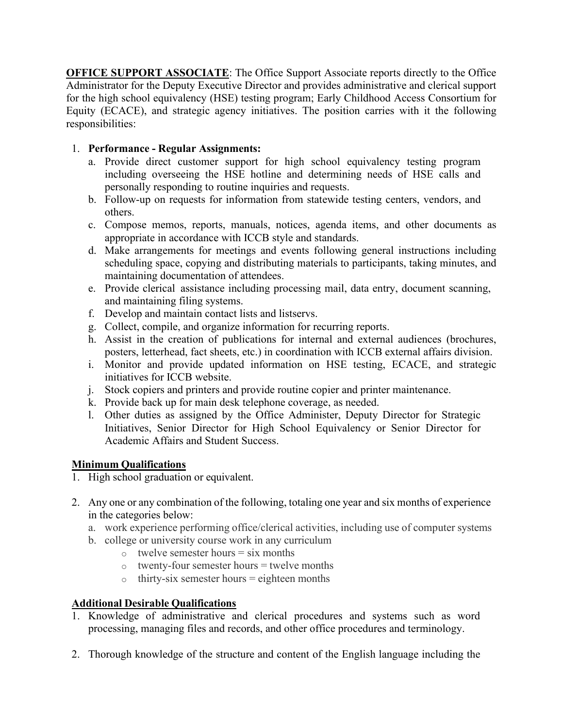**OFFICE SUPPORT ASSOCIATE:** The Office Support Associate reports directly to the Office Administrator for the Deputy Executive Director and provides administrative and clerical support for the high school equivalency (HSE) testing program; Early Childhood Access Consortium for Equity (ECACE), and strategic agency initiatives. The position carries with it the following responsibilities:

## 1. **Performance - Regular Assignments:**

- a. Provide direct customer support for high school equivalency testing program including overseeing the HSE hotline and determining needs of HSE calls and personally responding to routine inquiries and requests.
- b. Follow-up on requests for information from statewide testing centers, vendors, and others.
- c. Compose memos, reports, manuals, notices, agenda items, and other documents as appropriate in accordance with ICCB style and standards.
- d. Make arrangements for meetings and events following general instructions including scheduling space, copying and distributing materials to participants, taking minutes, and maintaining documentation of attendees.
- e. Provide clerical assistance including processing mail, data entry, document scanning, and maintaining filing systems.
- f. Develop and maintain contact lists and listservs.
- g. Collect, compile, and organize information for recurring reports.
- h. Assist in the creation of publications for internal and external audiences (brochures, posters, letterhead, fact sheets, etc.) in coordination with ICCB external affairs division.
- i. Monitor and provide updated information on HSE testing, ECACE, and strategic initiatives for ICCB website.
- j. Stock copiers and printers and provide routine copier and printer maintenance.
- k. Provide back up for main desk telephone coverage, as needed.
- l. Other duties as assigned by the Office Administer, Deputy Director for Strategic Initiatives, Senior Director for High School Equivalency or Senior Director for Academic Affairs and Student Success.

## **Minimum Qualifications**

- 1. High school graduation or equivalent.
- 2. Any one or any combination of the following, totaling one year and six months of experience in the categories below:
	- a. work experience performing office/clerical activities, including use of computer systems
	- b. college or university course work in any curriculum
		- $\circ$  twelve semester hours = six months
		- $\circ$  twenty-four semester hours = twelve months
		- $\circ$  thirty-six semester hours = eighteen months

## **Additional Desirable Qualifications**

- 1. Knowledge of administrative and clerical procedures and systems such as word processing, managing files and records, and other office procedures and terminology.
- 2. Thorough knowledge of the structure and content of the English language including the